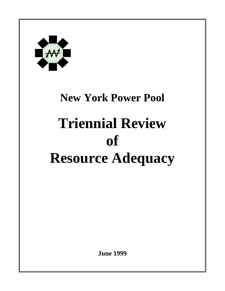

# **New York Power Pool Triennial Review of Resource Adequacy**

**June 1999**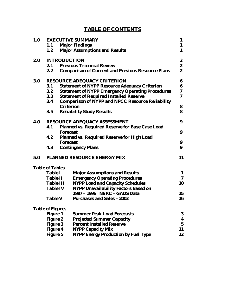## **TABLE OF CONTENTS**

| 1.0 | <b>EXECUTIVE SUMMARY</b>                                    |                  |                                                          |                         |  |  |  |  |  |
|-----|-------------------------------------------------------------|------------------|----------------------------------------------------------|-------------------------|--|--|--|--|--|
|     | 1.1                                                         |                  | <b>Major Findings</b>                                    | $\mathbf{1}$            |  |  |  |  |  |
|     | 1.2                                                         |                  | <b>Major Assumptions and Results</b>                     | $\mathbf{1}$            |  |  |  |  |  |
| 2.0 | <b>INTRODUCTION</b>                                         |                  |                                                          |                         |  |  |  |  |  |
|     | 2.1                                                         |                  | <b>Previous Triennial Review</b>                         | $\boldsymbol{2}$        |  |  |  |  |  |
|     | 2.2                                                         |                  | <b>Comparison of Current and Previous Resource Plans</b> | $\boldsymbol{2}$        |  |  |  |  |  |
| 3.0 | <b>RESOURCE ADEQUACY CRITERION</b>                          |                  |                                                          |                         |  |  |  |  |  |
|     | 3.1<br><b>Statement of NYPP Resource Adequacy Criterion</b> |                  |                                                          |                         |  |  |  |  |  |
|     | 3.2                                                         |                  | <b>Statement of NYPP Emergency Operating Procedures</b>  | $\boldsymbol{7}$        |  |  |  |  |  |
|     | 3.3                                                         |                  | <b>Statement of Required Installed Reserve</b>           | $\mathbf 7$             |  |  |  |  |  |
|     | 3.4                                                         |                  | <b>Comparison of NYPP and NPCC Resource Reliability</b>  |                         |  |  |  |  |  |
|     |                                                             |                  | <b>Criterion</b>                                         | 8                       |  |  |  |  |  |
|     | 3.5                                                         |                  | <b>Reliability Study Results</b>                         | 8                       |  |  |  |  |  |
| 4.0 | <b>RESOURCE ADEQUACY ASSESSMENT</b>                         |                  |                                                          |                         |  |  |  |  |  |
|     | Planned vs. Required Reserve for Base Case Load<br>4.1      |                  |                                                          |                         |  |  |  |  |  |
|     |                                                             | <b>Forecast</b>  | 9                                                        |                         |  |  |  |  |  |
|     | 4.2                                                         |                  | <b>Planned vs. Required Reserve for High Load</b>        |                         |  |  |  |  |  |
|     |                                                             | <b>Forecast</b>  |                                                          | 9                       |  |  |  |  |  |
|     | 4.3                                                         |                  | <b>Contingency Plans</b>                                 | 9                       |  |  |  |  |  |
| 5.0 |                                                             |                  | <b>PLANNED RESOURCE ENERGY MIX</b>                       | 11                      |  |  |  |  |  |
|     | <b>Table of Tables</b>                                      |                  |                                                          |                         |  |  |  |  |  |
|     | <b>Table I</b>                                              |                  | <b>Major Assumptions and Results</b>                     | 1                       |  |  |  |  |  |
|     | <b>Table II</b>                                             |                  | <b>Emergency Operating Procedures</b>                    | $\overline{7}$          |  |  |  |  |  |
|     |                                                             | <b>Table III</b> | <b>NYPP Load and Capacity Schedules</b>                  | 10                      |  |  |  |  |  |
|     | <b>Table IV</b>                                             |                  | <b>NYPP Unavailability Factors Based on</b>              |                         |  |  |  |  |  |
|     |                                                             |                  | 1987 – 1996 NERC – GADS Data                             | 15                      |  |  |  |  |  |
|     | <b>Table V</b>                                              |                  | <b>Purchases and Sales - 2003</b>                        | 16                      |  |  |  |  |  |
|     | <b>Table of Figures</b>                                     |                  |                                                          |                         |  |  |  |  |  |
|     | <b>Figure 1</b>                                             |                  | <b>Summer Peak Load Forecasts</b>                        | 3                       |  |  |  |  |  |
|     | <b>Figure 2</b>                                             |                  | <b>Projected Summer Capacity</b>                         | 4                       |  |  |  |  |  |
|     | <b>Figure 3</b>                                             |                  | <b>Percent Installed Reserve</b>                         | $\overline{\mathbf{5}}$ |  |  |  |  |  |
|     | <b>Figure 4</b>                                             |                  | <b>NYPP Capacity Mix</b>                                 | 11                      |  |  |  |  |  |
|     | <b>Figure 5</b>                                             |                  | <b>NYPP Energy Production by Fuel Type</b>               | 12                      |  |  |  |  |  |
|     |                                                             |                  |                                                          |                         |  |  |  |  |  |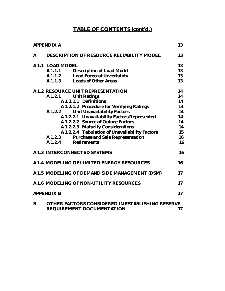# **TABLE OF CONTENTS (cont'd.)**

|              | <b>APPENDIX A</b> |                                                         | 13 |  |  |  |  |
|--------------|-------------------|---------------------------------------------------------|----|--|--|--|--|
| $\mathbf{A}$ |                   | <b>DESCRIPTION OF RESOURCE RELIABILITY MODEL</b>        | 13 |  |  |  |  |
|              | A 1.1 LOAD MODEL  |                                                         |    |  |  |  |  |
|              | A 1.1.1           | <b>Description of Load Model</b>                        | 13 |  |  |  |  |
|              | A 1.1.2           | <b>Load Forecast Uncertainty</b>                        | 13 |  |  |  |  |
|              | A1.1.3            | <b>Loads of Other Areas</b>                             | 13 |  |  |  |  |
|              |                   | <b>A 1.2 RESOURCE UNIT REPRESENTATION</b>               | 14 |  |  |  |  |
|              | A 1.2.1           | <b>Unit Ratings</b>                                     | 14 |  |  |  |  |
|              |                   | A 1.2.1.1 Definitions                                   | 14 |  |  |  |  |
|              |                   | A 1.2.1.2 Procedure for Verifying Ratings               | 14 |  |  |  |  |
|              | A 1.2.2           | <b>Unit Unavailability Factors</b>                      | 14 |  |  |  |  |
|              |                   | A 1.2.2.1 Unavailability Factors Represented            | 14 |  |  |  |  |
|              |                   | A 1.2.2.2 Source of Outage Factors                      | 14 |  |  |  |  |
|              |                   | <b>A 1.2.2.3 Maturity Considerations</b>                | 14 |  |  |  |  |
|              |                   | A 1.2.2.4 Tabulation of Unavailability Factors          | 15 |  |  |  |  |
|              | A1.2.3            | <b>Purchase and Sale Representation</b>                 | 16 |  |  |  |  |
|              |                   | A 1.2.4 Retirements                                     | 16 |  |  |  |  |
|              |                   | <b>A 1.3 INTERCONNECTED SYSTEMS</b>                     | 16 |  |  |  |  |
|              |                   | A 1.4 MODELING OF LIMITED ENERGY RESOURCES              | 16 |  |  |  |  |
|              |                   | A 1.5 MODELING OF DEMAND SIDE MANAGEMENT (DSM)          | 17 |  |  |  |  |
|              |                   | A 1.6 MODELING OF NON-UTILITY RESOURCES                 | 17 |  |  |  |  |
|              | <b>APPENDIX B</b> |                                                         | 17 |  |  |  |  |
| B            |                   | <b>OTHER FACTORS CONSIDERED IN ESTABLISHING RESERVE</b> |    |  |  |  |  |
|              |                   | <b>REQUIREMENT DOCUMENTATION</b>                        | 17 |  |  |  |  |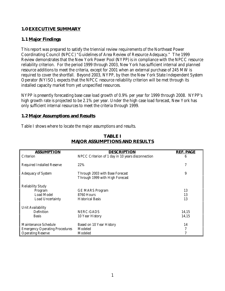## **1.0 EXECUTIVE SUMMARY**

## **1.1 Major Findings**

This report was prepared to satisfy the triennial review requirements of the Northeast Power Coordinating Council (NPCC) "Guidelines of Area Review of Resource Adequacy." The 1999 Review demonstrates that the New York Power Pool (NYPP) is in compliance with the NPCC resource reliability criterion. For the period 1999 through 2003, New York has sufficient internal and planned resource additions to meet the criteria, except for 2001 when an external purchase of 245 MW is required to cover the shortfall. Beyond 2003, NYPP, by then the New York State Independent System Operator (NYISO), expects that the NPCC resource reliability criterion will be met through its installed capacity market from yet unspecified resources.

NYPP is presently forecasting base case load growth of 0.9% per year for 1999 through 2008. NYPP's high growth rate is projected to be 2.1% per year. Under the high case load forecast, New York has only sufficient internal resources to meet the criteria through 1999.

## **1.2 Major Assumptions and Results**

Table I shows where to locate the major assumptions and results.

| <b>ASSUMPTION</b>                     | <b>DESCRIPTION</b>                                                 | <b>REF. PAGE</b> |
|---------------------------------------|--------------------------------------------------------------------|------------------|
| Criterion                             | NPCC Criterion of 1 day in 10 years disconnection                  | 6                |
| <b>Required Installed Reserve</b>     | 22%                                                                | 7                |
| <b>Adequacy of System</b>             | Through 2003 with Base Forecast<br>Through 1999 with High Forecast | 9                |
| <b>Reliability Study</b>              |                                                                    |                  |
| Program                               | <b>GE MARS Program</b>                                             | 13               |
| <b>Load Model</b>                     | 8760 Hours                                                         | 13               |
| <b>Load Uncertainty</b>               | <b>Historical Basis</b>                                            | 13               |
| Unit Availability                     |                                                                    |                  |
| Definition                            | NERC-GADS                                                          | 14,15            |
| <b>Basis</b>                          | 10 Year History                                                    | 14,15            |
| Maintenance Schedule                  | Based on 10 Year History                                           | 14               |
| <b>Emergency Operating Procedures</b> | Modeled                                                            |                  |
| <b>Operating Reserve</b>              | Modeled                                                            |                  |

## **TABLE I MAJOR ASSUMPTIONS AND RESULTS**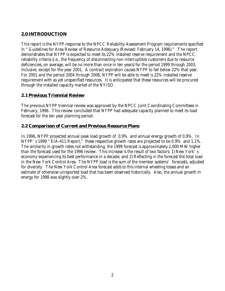## **2.0 INTRODUCTION**

This report is the NYPP response to the NPCC Reliability Assessment Program requirements specified in "Guidelines for Area Review of Resource Adequacy (Revised: February 14, 1996)." The report demonstrates that NYPP is expected to meet its 22% installed reserve requirement and the NPCC reliability criteria (i.e., the frequency of disconnecting non-interruptible customers due to resource deficiencies, on average, will be no more than once in ten years) for the period 1999 through 2003, inclusive, except for the year 2001. A contract expiration causes NYPP to fall below 22% that year. For 2001 and the period 2004 through 2008, NYPP will be able to meet is 22% installed reserve requirement with as yet unspecified resources. It is anticipated that these resources will be procured through the installed capacity market of the NYISO.

## **2.1 Previous Triennial Review**

The previous NYPP triennial review was approved by the NPCC Joint Coordinating Committees in February, 1996. This review concluded that NYPP had adequate capacity planned to meet its load forecast for the ten year planning period.

## **2.2 Comparison of Current and Previous Resource Plans**

In 1996, NYPP projected annual peak load growth of 0.9% and annual energy growth of 0.9%. In NYPP's 1999 "EIA-411 Report," these respective growth rates are projected to be 0.9% and 1.1%. The similarity in growth rates not withstanding, the 1999 forecast is approximately 1,000 MW higher than the forecast used for the 1996 review. This increase is the result of two factors: 1) New York's economy experiencing its best performance in a decade; and 2) Reflecting in the forecast the total load in the New York Control Area. The NYPP load is the sum of the member systems' forecasts, adjusted for diversity. The New York Control Area forecast adds to this internal wheeling losses and an estimate of otherwise unreported load that has been observed historically. Also, the annual growth in energy for 1998 was slightly over 2%.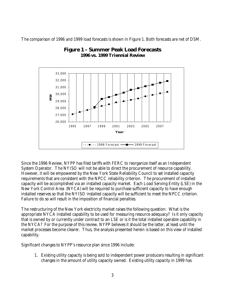The comparison of 1996 and 1999 load forecasts is shown in Figure 1. Both forecasts are net of DSM.



## **Figure 1 – Summer Peak Load Forecasts 1996 vs. 1999 Triennial Review**

Since the 1996 Review, NYPP has filed tariffs with FERC to reorganize itself as an Independent System Operator. The NYISO will not be able to direct the procurement of resource capability. However, it will be empowered by the New York State Reliability Council to set installed capacity requirements that are consistent with the NPCC reliability criterion. The procurement of installed capacity will be accomplished via an installed capacity market. Each Load Serving Entity (LSE) in the New York Control Area (NYCA) will be required to purchase sufficient capacity to have enough installed reserves so that the NYISO installed capacity will be sufficient to meet the NPCC criterion. Failure to do so will result in the imposition of financial penalties.

The restructuring of the New York electricity market raises the following question: What is the appropriate NYCA installed capability to be used for measuring resource adequacy? Is it only capacity that is owned by or currently under contract to an LSE or is it the total installed operable capability in the NYCA? For the purpose of this review, NYPP believes it should be the latter, at least until the market processes become clearer. Thus, the analysis presented herein is based on this view of installed capability.

Significant changes to NYPP's resource plan since 1996 include:

1. Existing utility capacity is being sold to independent power producers resulting in significant changes in the amount of utility capacity owned. Existing utility capacity in 1999 has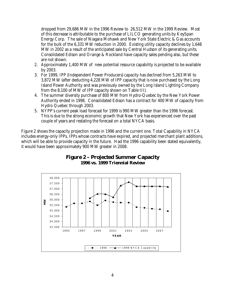dropped from 29,686 MW in the 1996 Review to 26,512 MW in the 1999 Review. Most of this decrease is attributable to the purchase of LILCO generating units by KeySpan Energy Corp. The sale of Niagara Mohawk and New York State Electric & Gas accounts for the bulk of the 6,331 MW reduction in 2000. Existing utility capacity declines by 1,648 MW in 2002 as a result of the anticipated sale by Central Hudson of its generating units. Consolidated Edison and Orange & Rockland have capacity sales pending also, but these are not shown.

- 2. Approximately 1,400 MW of new potential resource capability is projected to be available by 2003.
- 3. For 1999, IPP (Independent Power Producers) capacity has declined from 5,263 MW to 3,872 MW (after deducting 4,228 MW of IPP capacity that is now purchased by the Long Island Power Authority and was previously owned by the Long Island Lighting Company from the 8,100 of MW of IPP capacity shown on Table III).
- 4. The summer diversity purchase of 800 MW from Hydro-Quebec by the New York Power Authority ended in 1998. Consolidated Edison has a contract for 400 MW of capacity from Hydro Quebec through 2003.
- 5. NYPP's current peak load forecast for 1999 is 990 MW greater than the 1996 forecast. This is due to the strong economic growth that New York has experienced over the past couple of years and restating the forecast on a total NYCA basis.

Figure 2 shows the capacity projection made in 1996 and the current one. Total Capability in NYCA includes energy-only IPPs, IPPs whose contracts have expired, and projected merchant plant additions, which will be able to provide capacity in the future. Had the 1996 capability been stated equivalently, it would have been approximately 900 MW greater in 2008.



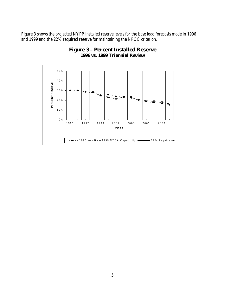Figure 3 shows the projected NYPP installed reserve levels for the base load forecasts made in 1996 and 1999 and the 22% required reserve for maintaining the NPCC criterion.



## **Figure 3 – Percent Installed Reserve 1996 vs. 1999 Triennial Review**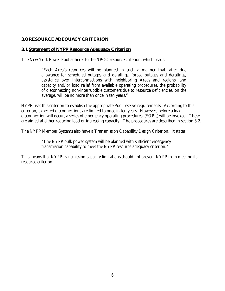## **3.0 RESOURCE ADEQUACY CRITERION**

#### **3.1 Statement of NYPP Resource Adequacy Criterion**

The New York Power Pool adheres to the NPCC resource criterion, which reads:

"Each Area's resources will be planned in such a manner that, after due allowance for scheduled outages and deratings, forced outages and deratings, assistance over interconnections with neighboring Areas and regions, and capacity and/or load relief from available operating procedures, the probability of disconnecting non-interruptible customers due to resource deficiencies, on the average, will be no more than once in ten years."

NYPP uses this criterion to establish the appropriate Pool reserve requirements. According to this criterion, expected disconnections are limited to once in ten years. However, before a load disconnection will occur, a series of emergency operating procedures (EOP's) will be invoked. These are aimed at either reducing load or increasing capacity. The procedures are described in section 3.2.

The NYPP Member Systems also have a Transmission Capability Design Criterion. It states:

"The NYPP bulk power system will be planned with sufficient emergency transmission capability to meet the NYPP resource adequacy criterion."

This means that NYPP transmission capacity limitations should not prevent NYPP from meeting its resource criterion.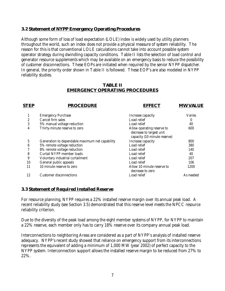#### **3.2 Statement of NYPP Emergency Operating Procedures**

Although some form of loss of load expectation (LOLE) index is widely used by utility planners throughout the world, such an index does not provide a physical measure of system reliability. The reason for this is that conventional LOLE calculations cannot take into account possible system operator strategy during dwindling capacity conditions. Table II lists the selection of load control and generator resource supplements which may be available on an emergency basis to reduce the possibility of customer disconnections. These EOPs are initiated when required by the senior NYPP dispatcher. In general, the priority order shown in Table II is followed. These EOP's are also modeled in NYPP reliability studies.

#### **TABLE II EMERGENCY OPERATING PROCEDURES**

| <b>PROCEDURE</b>               | <b>EFFECT</b>                                                                                                                              | <b>MW VALUE</b> |
|--------------------------------|--------------------------------------------------------------------------------------------------------------------------------------------|-----------------|
|                                | Increase capacity                                                                                                                          | <b>Varies</b>   |
| Cancel firm sales              | Load relief                                                                                                                                | $\bf{0}$        |
| 5% manual voltage reduction    | Load relief                                                                                                                                | 40              |
| Thirty-minute reserve to zero  | Allow operating reserve to<br>decrease to largest unit<br>capacity (10 minute reserve)                                                     | 600             |
|                                | Increase capacity                                                                                                                          | 800             |
| 5% remote voltage reduction    | Load relief                                                                                                                                | 380             |
| 8% remote voltage reduction    | Load relief                                                                                                                                | 140             |
| Curtail NYPP member loads      | Load relief                                                                                                                                | 40              |
|                                | Load relief                                                                                                                                | 207             |
|                                | Load relief                                                                                                                                | 106             |
| 10 minute reserve to zero      | Allow 10 minute reserve to<br>decrease to zero                                                                                             | 1200            |
| <b>Customer disconnections</b> | Load relief                                                                                                                                | As needed       |
|                                | <b>Emergency Purchase</b><br>Generation to dependable maximum net capability<br>Voluntary industrial curtailment<br>General public appeals |                 |

#### **3.3 Statement of Required Installed Reserve**

For resource planning, NYPP requires a 22% installed reserve margin over its annual peak load. A recent reliability study (see Section 3.5) demonstrated that this reserve level meets the NPCC resource reliability criterion.

Due to the diversity of the peak load among the eight member systems of NYPP, for NYPP to maintain a 22% reserve, each member only has to carry 18% reserve over its company annual peak load.

Interconnections to neighboring Areas are considered as a part of NYPP's analysis of installed reserve adequacy. NYPP's recent study showed that reliance on emergency support from its interconnections represents the equivalent of adding a minimum of 1,000 MW (year 2002) of perfect capacity to the NYPP system. Interconnection support allows the installed reserve margin to be reduced from 27% to 22%.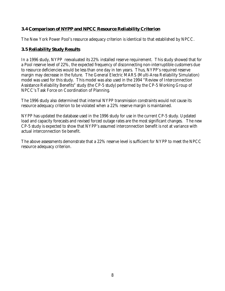## **3.4 Comparison of NYPP and NPCC Resource Reliability Criterion**

The New York Power Pool's resource adequacy criterion is identical to that established by NPCC.

## **3.5 Reliability Study Results**

In a 1996 study, NYPP reevaluated its 22% installed reserve requirement. This study showed that for a Pool reserve level of 22%, the expected frequency of disconnecting non-interruptible customers due to resource deficiencies would be less than one day in ten years. Thus, NYPP's required reserve margin may decrease in the future. The General Electric MARS (Multi-Area Reliability Simulation) model was used for this study. This model was also used in the 1994 "Review of Interconnection Assistance Reliability Benefits" study (the CP-5 study) performed by the CP-5 Working Group of NPCC's Task Force on Coordination of Planning.

The 1996 study also determined that internal NYPP transmission constraints would not cause its resource adequacy criterion to be violated when a 22% reserve margin is maintained.

NYPP has updated the database used in the 1996 study for use in the current CP-5 study. Updated load and capacity forecasts and revised forced outage rates are the most significant changes. The new CP-5 study is expected to show that NYPP's assumed interconnection benefit is not at variance with actual interconnection tie benefit.

The above assessments demonstrate that a 22% reserve level is sufficient for NYPP to meet the NPCC resource adequacy criterion.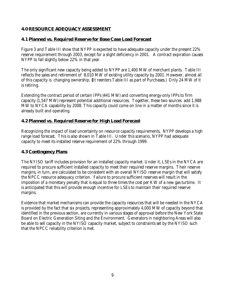## **4.0 RESOURCE ADEQUACY ASSESSMENT**

## **4.1 Planned vs. Required Reserve for Base Case Load Forecast**

Figure 3 and Table III show that NYPP is expected to have adequate capacity under the present 22% reserve requirement through 2003, except for a slight deficiency in 2001. A contract expiration causes NYPP to fall slightly below 22% in that year.

The only significant new capacity being added to NYPP are 1,400 MW of merchant plants. Table III reflects the sales and retirement of 8,010 MW of existing utility capacity by 2001. However, almost all of this capacity is changing ownership. **(**It reenters Table III as part of Purchases.) Only 24 MW of it is retiring.

Extending the contract period of certain IPPs (441 MW) and converting energy-only IPPs to firm capacity (1,547 MW) represent potential additional resources. Together, these two sources add 1,988 MW to NYCA capability by 2008. This capacity could come on line in a matter of months since it is already built and operating.

## **4.2 Planned vs. Required Reserve for High Load Forecast**

Recognizing the impact of load uncertainty on resource capacity requirements, NYPP develops a high range load forecast. This is also shown in Table III. Under this scenario, NYPP had adequate capacity to meet its installed reserve requirement of 22% through 1999.

## **4.3 Contingency Plans**

The NYISO tariff includes provision for an installed capacity market. Under it, LSEs in the NYCA are required to procure sufficient installed capacity to meet their required reserve margins. Their reserve margins, in turn, are calculated to be consistent with an overall NYISO reserve margin that will satisfy the NPCC resource adequacy criterion. Failure to procure sufficient reserves will result in the imposition of a monetary penalty that is equal to three times the cost per KW of a new gas turbine. It is anticipated that this will provide enough incentive for LSEs to maintain their required reserve margins.

Evidence that market mechanisms can provide the capacity resources that will be needed in the NYCA is provided by the fact that six projects, representing approximately 4,000 MW of capacity beyond that identified in the previous section, are currently in various stages of approval before the New York State Board on Electric Generation Siting and the Environment. Generators in neighboring Areas will also be able to sell capacity in the NYISO capacity market, subject to constraints set by the NYISO such that the NPCC reliability criterion is met.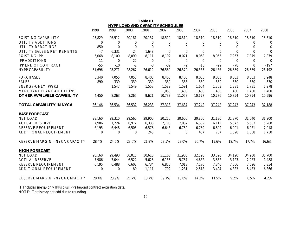| <b>Table III</b><br><b>NYPP LOAD AND CAPACITY SCHEDULES</b> |                  |                  |                  |                  |                  |                  |                  |                  |                  |                |          |
|-------------------------------------------------------------|------------------|------------------|------------------|------------------|------------------|------------------|------------------|------------------|------------------|----------------|----------|
|                                                             |                  |                  |                  |                  |                  |                  |                  |                  | 1998             | 1999           | 2000     |
| <b>EXISTING CAPABILITY</b>                                  | 25,829           | 26,512           | 20,181           | 20,157           | 18,510           | 18,510           | 18,510           | 18,510           | 18,510           | 18,510         | 18,510   |
| <b>UTILITY ADDITIONS</b>                                    | $\bf{0}$         | $\bf{0}$         | $\boldsymbol{0}$ | $\boldsymbol{0}$ | $\boldsymbol{0}$ | $\boldsymbol{0}$ | $\boldsymbol{0}$ | $\boldsymbol{0}$ | $\boldsymbol{0}$ | $\bf{0}$       | $\theta$ |
| <b>UTILITY RERATINGS</b>                                    | 850              | $\theta$         | $\boldsymbol{0}$ | $\boldsymbol{0}$ | $\bf{0}$         | $\bf{0}$         | $\bf{0}$         | $\boldsymbol{0}$ | $\bf{0}$         | $\Omega$       | $\theta$ |
| UTILITY SALES & RETIREMENTS                                 | $-7$             | $-6,331$         | $-24$            | $-1,648$         | $\theta$         | $\theta$         | $\mathbf{0}$     | $\Omega$         | $\theta$         | $\Omega$       | $\Omega$ |
| <b>EXISTING IPP</b>                                         | 5,068            | 8,100            | 8,090            | 8,111            | 8,102            | 8,071            | 8,068            | 8,055            | 7,957            | 7,879          | 7,879    |
| <b>IPP ADDITIONS</b>                                        | 11               | $\theta$         | 22               | $\bf{0}$         | $\theta$         | $\bf{0}$         | $\bf{0}$         | $\theta$         | $\bf{0}$         | $\bf{0}$       | $\theta$ |
| IPP END OF CONTRACT                                         | $-55$            | $-10$            | $-2$             | $-\underline{8}$ | $-32$            | $-2$             | $-13$            | $-99$            | $-78$            | $\overline{0}$ | $-197$   |
| NYPP CAPABILITY                                             | 31,696           | 28,271           | 28,267           | 26,612           | 26,580           | 26,579           | 26,565           | 26,466           | 26,389           | 26,389         | 26,192   |
| <b>PURCHASES</b>                                            | 5,340            | 7,055            | 7,055            | 8,403            | 8,403            | 8,403            | 8,003            | 8,003            | 8,003            | 8,003          | 7,948    |
| <b>SALES</b>                                                | $-890$           | $-339$           | $-339$           | $-339$           | $-339$           | $-336$           | $-330$           | $-330$           | $-330$           | $-330$         | $-330$   |
| <b>ENERGY-ONLY IPPs (1)</b>                                 |                  | 1,547            | 1,549            | 1,557            | 1,589            | 1,591            | 1,604            | 1,703            | 1,781            | 1,781          | 1,978    |
| MERCHANT PLANT ADDITIONS                                    |                  |                  |                  |                  | 1,080            | 1,400            | 1,400            | 1,400            | 1,400            | 1,400          | 1,400    |
| <b>OTHER AVAILABLE CAPABILITY</b>                           | 4,450            | 8,263            | 8,265            | 9,621            | 10,733           | 11,058           | 10,677           | 10,776           | 10,854           | 10,854         | 10,996   |
| <b>TOTAL CAPABILITY IN NYCA</b>                             | 36,146           | 36,534           | 36,532           | 36,233           | 37,313           | 37,637           | 37,242           | 37,242           | 37,243           | 37,243         | 37,188   |
| <b>BASE FORECAST</b>                                        |                  |                  |                  |                  |                  |                  |                  |                  |                  |                |          |
| <b>NET LOAD</b>                                             | 28,160           | 29,310           | 29,560           | 29,900           | 30,210           | 30,600           | 30,860           | 31,130           | 31,370           | 31,640         | 31,900   |
| <b>ACTUAL RESERVE</b>                                       | 7,986            | 7,224            | 6,972            | 6,333            | 7,103            | 7,037            | 6,382            | 6,112            | 5,873            | 5,603          | 5,288    |
| RESERVE REQUIREMENT                                         | 6,195            | 6,448            | 6,503            | 6,578            | 6,646            | 6,732            | 6,789            | 6,849            | 6,901            | 6,961          | 7,018    |
| ADDITIONAL REQUIREMENT                                      | $\boldsymbol{0}$ | $\theta$         | $\boldsymbol{0}$ | 245              | $\bf{0}$         | $\bf{0}$         | 407              | 737              | 1,028            | 1,358          | 1,730    |
| RESERVE MARGIN - NYCA CAPACITY                              | 28.4%            | 24.6%            | 23.6%            | 21.2%            | 23.5%            | 23.0%            | 20.7%            | 19.6%            | 18.7%            | 17.7%          | 16.6%    |
| <b>HIGH FORECAST</b>                                        |                  |                  |                  |                  |                  |                  |                  |                  |                  |                |          |
| <b>NET LOAD</b>                                             | 28,160           | 29,490           | 30,010           | 30,610           | 31,160           | 31,900           | 32,590           | 33,390           | 34,120           | 34,980         | 35,700   |
| <b>ACTUAL RESERVE</b>                                       | 7,986            | 7,044            | 6,522            | 5,623            | 6,153            | 5,737            | 4,652            | 3,852            | 3,123            | 2,263          | 1,488    |
| RESERVE REQUIREMENT                                         | 6,195            | 6,488            | 6,602            | 6,734            | 6,855            | 7,018            | 7,170            | 7,346            | 7,506            | 7,696          | 7,854    |
| ADDITIONAL REQUIREMENT                                      | $\boldsymbol{0}$ | $\boldsymbol{0}$ | 80               | 1,111            | 702              | 1,281            | 2,518            | 3,494            | 4,383            | 5,433          | 6,366    |
| RESERVE MARGIN - NYCA CAPACITY                              | 28.4%            | 23.9%            | 21.7%            | 18.4%            | 19.7%            | 18.0%            | 14.3%            | 11.5%            | 9.2%             | 6.5%           | 4.2%     |

(1) Includes energy-only IPPs plus IPPs beyond contract expiration date.

NOTE: Totals may not add due to rounding.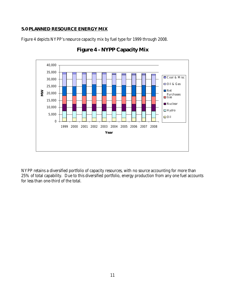## **5.0 PLANNED RESOURCE ENERGY MIX**

Figure 4 depicts NYPP's resource capacity mix by fuel type for 1999 through 2008.



**Figure 4 –NYPP Capacity Mix**

NYPP retains a diversified portfolio of capacity resources, with no source accounting for more than 25% of total capability. Due to this diversified portfolio, energy production from any one fuel accounts for less than one-third of the total.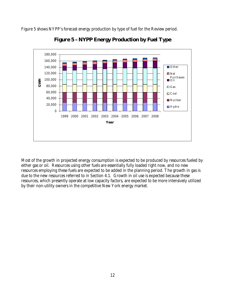Figure 5 shows NYPP's forecast energy production by type of fuel for the Review period.



**Figure 5 –NYPP Energy Production by Fuel Type**

Most of the growth in projected energy consumption is expected to be produced by resources fueled by either gas or oil. Resources using other fuels are essentially fully loaded right now, and no new resources employing these fuels are expected to be added in the planning period. The growth in gas is due to the new resources referred to in Section 4.1. Growth in oil use is expected because these resources, which presently operate at low capacity factors, are expected to be more intensively utilized by their non-utility owners in the competitive New York energy market.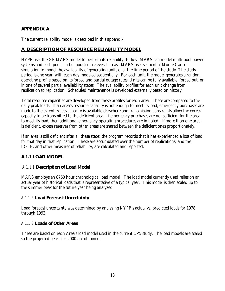## **APPENDIX A**

The current reliability model is described in this appendix.

## **A. DESCRIPTION OF RESOURCE RELIABILITY MODEL**

NYPP uses the GE MARS model to perform its reliability studies. MARS can model multi-pool power systems and each pool can be modeled as several areas. MARS uses sequential Monte Carlo simulation to model the availability of generating units over the time period of the study. The study period is one year, with each day modeled sequentially. For each unit, the model generates a random operating profile based on its forced and partial outage rates. Units can be fully available, forced out, or in one of several partial availability states. The availability profiles for each unit change from replication to replication. Scheduled maintenance is developed externally based on history.

Total resource capacities are developed from these profiles for each area. These are compared to the daily peak loads. If an area's resource capacity is not enough to meet its load, emergency purchases are made to the extent excess capacity is available elsewhere and transmission constraints allow the excess capacity to be transmitted to the deficient area. If emergency purchases are not sufficient for the area to meet its load, then additional emergency operating procedures are initiated. If more than one area is deficient, excess reserves from other areas are shared between the deficient ones proportionately.

If an area is still deficient after all these steps, the program records that it has experienced a loss of load for that day in that replication. These are accumulated over the number of replications, and the LOLE, and other measures of reliability, are calculated and reported.

## **A 1.1 LOAD MODEL**

## *A 1.1.1 Description of Load Model*

MARS employs an 8760 hour chronological load model. The load model currently used relies on an actual year of historical loads that is representative of a typical year. This model is then scaled up to the summer peak for the future year being analyzed.

## *A 1.1.2 Load Forecast Uncertainty*

Load forecast uncertainty was determined by analyzing NYPP's actual vs. predicted loads for 1978 through 1993.

## *A 1.1.3 Loads of Other Areas*

These are based on each Area's load model used in the current CP5 study. The load models are scaled so the projected peaks for 2000 are obtained.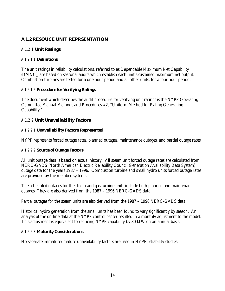## **A 1.2 RESOUCE UNIT REPRSENTATION**

## *A 1.2.1 Unit Ratings*

## *A 1.2.1.1 Definitions*

The unit ratings in reliability calculations, referred to as Dependable Maximum Net Capability (DMNC), are based on seasonal audits which establish each unit's sustained maximum net output. Combustion turbines are tested for a one hour period and all other units, for a four hour period.

## *A 1.2.1.2 Procedure for Verifying Ratings*

The document which describes the audit procedure for verifying unit ratings is the NYPP Operating Committee Manual Methods and Procedures #2, "Uniform Method for Rating Generating Capability."

## *A 1.2.2 Unit Unavailability Factors*

## *A 1.2.2.1 Unavailability Factors Represented*

NYPP represents forced outage rates, planned outages, maintenance outages, and partial outage rates.

## *A 1.2.2.2 Source of Outage Factors*

All unit outage data is based on actual history. All steam unit forced outage rates are calculated from NERC-GADS (North American Electric Reliability Council Generation Availability Data System) outage data for the years 1987 – 1996. Combustion turbine and small hydro units forced outage rates are provided by the member systems.

The scheduled outages for the steam and gas turbine units include both planned and maintenance outages. They are also derived from the 1987 – 1996 NERC-GADS data.

Partial outages for the steam units are also derived from the 1987 – 1996 NERC-GADS data.

Historical hydro generation from the small units has been found to vary significantly by season. An analysis of the on-line data at the NYPP control center resulted in a monthly adjustment to the model. This adjustment is equivalent to reducing NYPP capability by 80 MW on an annual basis.

## *A 1.2.2.3 Maturity Considerations*

No separate immature/mature unavailability factors are used in NYPP reliability studies.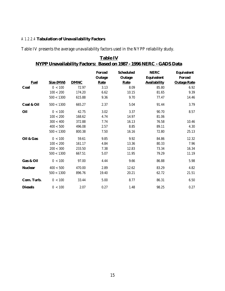## *A 1.2.2.4 Tabulation of Unavailability Factors*

Table IV presents the average unavailability factors used in the NYPP reliability study.

| <b>Table IV</b><br><b>NYPP Unavailability Factors: Based on 1987 - 1996 NERC - GADS Data</b> |                  |             |                         |                                   |                                  |                                    |  |  |
|----------------------------------------------------------------------------------------------|------------------|-------------|-------------------------|-----------------------------------|----------------------------------|------------------------------------|--|--|
|                                                                                              |                  |             | <b>Forced</b><br>Outage | <b>Scheduled</b><br><b>Outage</b> | <b>NERC</b><br><b>Equivalent</b> | <b>Equivalent</b><br><b>Forced</b> |  |  |
| <b>Fuel</b>                                                                                  | <b>Size (MW)</b> | <b>DMNC</b> | <b>Rate</b>             | <b>Rate</b>                       | <b>Availability</b>              | <b>Outage Rate</b>                 |  |  |
| Coal                                                                                         | 0 < 100          | 72.97       | 3.13                    | 8.09                              | 85.80                            | 6.92                               |  |  |
|                                                                                              | 100 < 200        | 174.20      | 6.62                    | 10.15                             | 81.65                            | 9.39                               |  |  |
|                                                                                              | 500 < 1300       | 615.88      | 9.36                    | 9.70                              | 77.47                            | 14.46                              |  |  |
| <b>Coal &amp; Oil</b>                                                                        | 500 < 1300       | 665.27      | 2.37                    | 5.04                              | 91.44                            | 3.79                               |  |  |
| Oil                                                                                          | 0 < 100          | 42.75       | 3.02                    | 3.37                              | 90.70                            | 8.57                               |  |  |
|                                                                                              | 100 < 200        | 168.62      | 4.74                    | 14.97                             | 81.06                            |                                    |  |  |
|                                                                                              | 300 < 400        | 372.88      | 7.74                    | 16.13                             | 76.58                            | 10.46                              |  |  |
|                                                                                              | 400 < 500        | 496.08      | 2.57                    | 8.85                              | 89.11                            | 4.30                               |  |  |
|                                                                                              | 500 < 1300       | 800.38      | 7.50                    | 16.16                             | 72.80                            | 25.13                              |  |  |
| Oil & Gas                                                                                    | 0 < 100          | 59.61       | 9.85                    | 9.92                              | 84.86                            | 12.32                              |  |  |
|                                                                                              | 100 < 200        | 161.17      | 4.84                    | 13.36                             | 80.33                            | 7.96                               |  |  |
|                                                                                              | 200 < 300        | 233.50      | 7.38                    | 12.83                             | 73.34                            | 16.34                              |  |  |
|                                                                                              | 500 < 1300       | 667.51      | 5.07                    | 11.95                             | 79.29                            | 11.19                              |  |  |
| <b>Gas &amp; Oil</b>                                                                         | 0 < 100          | 97.00       | 4.44                    | 9.66                              | 86.88                            | 5.98                               |  |  |
| <b>Nuclear</b>                                                                               | 400 < 500        | 470.00      | 2.89                    | 12.62                             | 83.29                            | 4.82                               |  |  |
|                                                                                              | 500 < 1300       | 896.76      | 19.40                   | 20.21                             | 62.72                            | 21.51                              |  |  |
| Com. Turb.                                                                                   | 0 < 100          | 33.44       | 5.00                    | 8.77                              | 86.31                            | 6.50                               |  |  |
| <b>Diesels</b>                                                                               | 0 < 100          | 2.07        | 0.27                    | 1.48                              | 98.25                            | 0.27                               |  |  |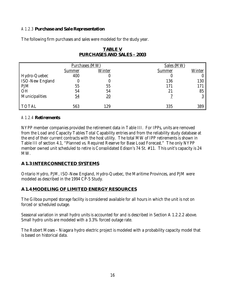## *A 1.2.3 Purchase and Sale Representation*

The following firm purchases and sales were modeled for the study year.

|                        | Purchases (MW) |        | Sales (MW) |                |  |  |
|------------------------|----------------|--------|------------|----------------|--|--|
|                        | <b>Summer</b>  | Winter | Summer     | Winter         |  |  |
| Hydro-Quebec           | 400            |        |            |                |  |  |
| <b>ISO-New England</b> |                |        | 136        | 130            |  |  |
| <b>PJM</b>             | 55             | 55     | 171        | 171            |  |  |
| <b>OH</b>              | 54             | 54     | 21         | 85             |  |  |
| Municipalities         | <u>54</u>      | 20     |            | $\overline{3}$ |  |  |
| <b>TOTAL</b>           | 563            | 129    | 335        | 389            |  |  |

## **TABLE V PURCHASES AND SALES – 2003**

## *A 1.2.4 Retirements*

NYPP member companies provided the retirement data in Table III. For IPPs, units are removed from the Load and Capacity Tables Total Capability entries and from the reliability study database at the end of their current contracts with the host utility. The total MW of IPP retirements is shown in Table III of section 4.1, "Planned vs. Required Reserve for Base Load Forecast." The only NYPP member owned unit scheduled to retire is Consolidated Edison's 74 St. #11. This unit's capacity is 24 MW.

## **A 1.3 INTERCONNECTED SYSTEMS**

Ontario Hydro, PJM, ISO-New England, Hydro-Quebec, the Maritime Provinces, and PJM were modeled as described in the 1994 CP-5 Study.

## **A 1.4 MODELING OF LIMITED ENERGY RESOURCES**

The Gilboa pumped storage facility is considered available for all hours in which the unit is not on forced or scheduled outage.

Seasonal variation in small hydro units is accounted for and is described in Section A 1.2.2.2 above. Small hydro units are modeled with a 3.3% forced outage rate.

The Robert Moses – Niagara hydro electric project is modeled with a probability capacity model that is based on historical data.